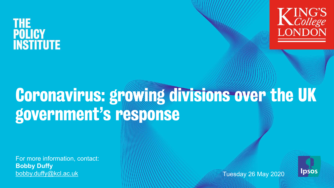# **THE POLICY INSTITUTE**



# Coronavirus: growing divisions over the UK government's response

For more information, contact: **Bobby Duffy** [bobby.duffy@kcl.ac.uk](http://kcl.ac.uk) Tuesday 26 May 2020

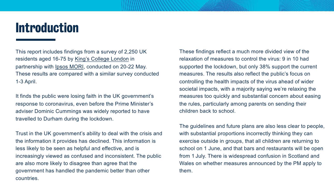# Introduction

This report includes findings from a survey of 2,250 UK residents aged 16-75 by [King's College London](https://www.kcl.ac.uk/policy-institute) in partnership with [Ipsos MORI](https://www.ipsos.com/ipsos-mori/en-uk), conducted on 20-22 May. These results are compared with a similar survey conducted 1-3 April.

It finds the public were losing faith in the UK government's response to coronavirus, even before the Prime Minister's adviser Dominic Cummings was widely reported to have travelled to Durham during the lockdown.

Trust in the UK government's ability to deal with the crisis and the information it provides has declined. This information is less likely to be seen as helpful and effective, and is increasingly viewed as confused and inconsistent. The public are also more likely to disagree than agree that the government has handled the pandemic better than other countries.

These findings reflect a much more divided view of the relaxation of measures to control the virus: 9 in 10 had supported the lockdown, but only 38% support the current measures. The results also reflect the public's focus on controlling the health impacts of the virus ahead of wider societal impacts, with a majority saying we're relaxing the measures too quickly and substantial concern about easing the rules, particularly among parents on sending their children back to school.

The guidelines and future plans are also less clear to people, with substantial proportions incorrectly thinking they can exercise outside in groups, that all children are returning to school on 1 June, and that bars and restaurants will be open from 1 July. There is widespread confusion in Scotland and Wales on whether measures announced by the PM apply to them.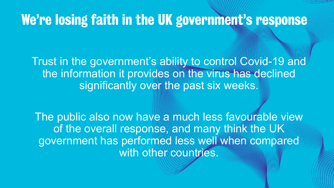# We're losing faith in the UK government's response

Trust in the government's ability to control Covid-19 and the information it provides on the virus has declined significantly over the past six weeks.

The public also now have a much less favourable view of the overall response, and many think the UK government has performed less well when compared with other countries.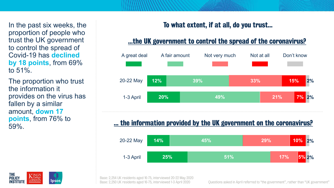In the past six weeks, the proportion of people who trust the UK government to control the spread of Covid-19 has **declined by 18 points**, from 69% to  $51\%$ .

The proportion who trust the information it provides on the virus has fallen by a similar amount, **down 17 points**, from 76% to 59%.

# To what extent, if at all, do you trust…

#### …the UK government to control the spread of the coronavirus?



#### … the information provided by the UK government on the coronavirus?





Base: 2,254 UK residents aged 16-75, interviewed 20-22 May 2020

Questions asked in April referred to "the government", rather than "UK government"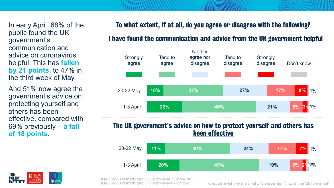In early April, 68% of the public found the UK government's communication and advice on coronavirus helpful. This has **fallen by 21 points**, to 47% in the third week of May.

And 51% now agree the government's advice on protecting yourself and others has been effective, compared with 69% previously – **a fall of 18 points**.

#### To what extent, if at all, do you agree or disagree with the following?

#### I have found the communication and advice from the UK government helpful



#### The UK government's advice on how to protect yourself and others has been effective





Questions asked in April referred to "the government", rather than "UK government"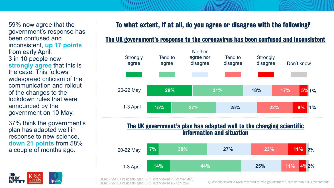59% now agree that the government's response has been confused and inconsistent, **up 17 points**  from early April. 3 in 10 people now **strongly agree** that this is the case. This follows widespread criticism of the communication and rollout of the changes to the lockdown rules that were announced by the government on 10 May.

37% think the government's plan has adapted well in response to new science, **down 21 points** from 58% a couple of months ago.

lpsos

LONDON

**THE POLICY** 

INSTITUTE

# To what extent, if at all, do you agree or disagree with the following?

#### The UK government's response to the coronavirus has been confused and inconsistent



#### The UK government's plan has adapted well to the changing scientific information and situation

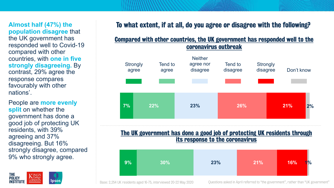**Almost half (47%) the population disagree** that the UK government has responded well to Covid-19 compared with other countries, with **one in five strongly disagreeing.** By contrast, 29% agree the response compares favourably with other nations'.

People are **more evenly split** on whether the government has done a good job of protecting UK residents, with 39% agreeing and 37% disagreeing. But 16% strongly disagree, compared 9% who strongly agree.



## To what extent, if at all, do you agree or disagree with the following?

#### Compared with other countries, the UK government has responded well to the coronavirus outbreak



#### The UK government has done a good job of protecting UK residents through its response to the coronavirus

| $ 9\% $ | 30% | 23% | 21% | 16%<br><b>1%</b> |
|---------|-----|-----|-----|------------------|
|---------|-----|-----|-----|------------------|

Base: 2,254 UK residents aged 16-75, interviewed 20-22 May 2020 Questions asked in April referred to "the government", rather than "UK government"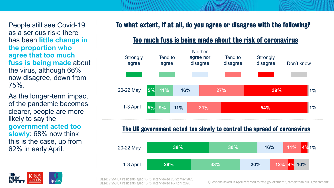People still see Covid-19 as a serious risk: there has been **little change in the proportion who agree that too much fuss is being made** about the virus, although 66% now disagree, down from 75%.

As the longer-term impact of the pandemic becomes clearer, people are more likely to say the **government acted too slowly**: 68% now think this is the case, up from 62% in early April.

**lpsos** 

**THE POLICY** 

**INSTITUTE** 

LONDON

# To what extent, if at all, do you agree or disagree with the following?

### Too much fuss is being made about the risk of coronavirus



#### The UK government acted too slowly to control the spread of coronavirus

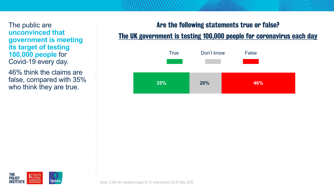The public are **unconvinced that government is meeting its target of testing 100,000 people** for Covid-19 every day.

46% think the claims are false, compared with 35% who think they are true.

#### Are the following statements true or false?

# The UK government is testing 100,000 people for coronavirus each day



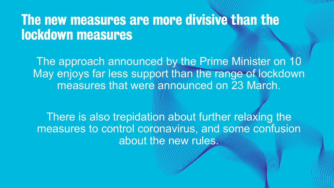# The new measures are more divisive than the lockdown measures

The approach announced by the Prime Minister on 10 May enjoys far less support than the range of lockdown measures that were announced on 23 March.

There is also trepidation about further relaxing the measures to control coronavirus, and some confusion about the new rules.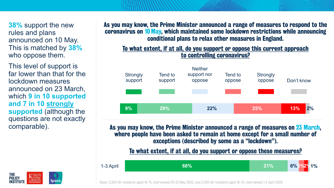**38%** support the new rules and plans announced on 10 May. This is matched by **38%** who oppose them.

This level of support is far lower than that for the lockdown measures announced on 23 March, which **9 in 10 supported and 7 in 10 strongly supported** (although the questions are not exactly comparable).

THE. **POLICY** 

**INSTITUTE** 

#### As you may know, the Prime Minister announced a range of measures to respond to the coronavirus on 10May, which maintained some lockdown restrictions while announcing conditional plans to relax other measures in England.

#### To what extent, if at all, do you support or oppose this current approach to controlling coronavirus?



As you may know, the Prime Minister announced a range of measures on 23 March, where people have been asked to remain at home except for a small number of exceptions (described by some as a "lockdown").

#### To what extent, if at all, do you support or oppose these measures?

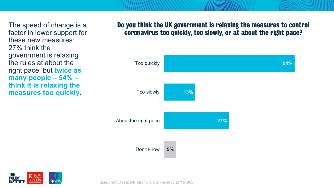The speed of change is a factor in lower support for these new measures: 27% think the government is relaxing the rules at about the right pace, but **twice as many people – 54% – think it is relaxing the measures too quickly**.

#### Do you think the UK government is relaxing the measures to control coronavirus too quickly, too slowly, or at about the right pace?



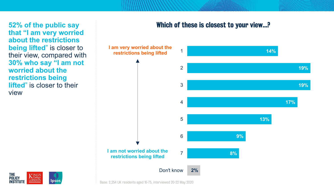**52% of the public say that "I am very worried about the restrictions being lifted**" is closer to their view, compared with **30% who say "I am not worried about the restrictions being lifted**" is closer to their view

#### Which of these is closest to your view…?





Base: 2,254 UK residents aged 16-75, interviewed 20-22 May 2020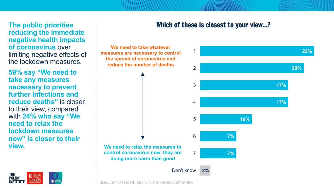**The public prioritise reducing the immediate negative health impacts of coronavirus** over limiting negative effects of the lockdown measures.

**59% say "We need to take any measures necessary to prevent further infections and reduce deaths"** is closer to their view, compared with **24% who say "We need to relax the lockdown measures now" is closer to their view.**

**THE** 

**POLICY** 

**INSTITUTE** 

**KING'S** 

**LONDON** 

Ipsos

#### Which of these is closest to your view…?

**We need to take whatever measures are necessary to control the spread of coronavirus and reduce the number of deaths**

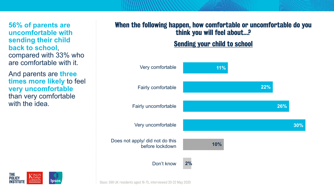**56% of parents are uncomfortable with sending their child back to school**, compared with 33% who are comfortable with it.

And parents are **three times more likely** to feel **very uncomfortable**  than very comfortable with the idea.

# When the following happen, how comfortable or uncomfortable do you think you will feel about…?

Sending your child to school



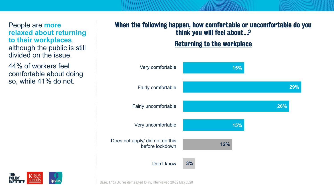People are **more relaxed about returning to their workplaces**, although the public is still divided on the issue.

44% of workers feel comfortable about doing so, while 41% do not.

# When the following happen, how comfortable or uncomfortable do you think you will feel about…?

Returning to the workplace

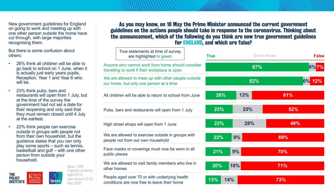New government guidelines for England on going to work and meeting up with one other person outside the home have cut through, with large majorities recognising them.

But there is some confusion about others:

- 26% think all children will be able to go back to school on 1 June, when it is actually just early years pupils, Reception, Year 1 and Year 6 who will be.
- 23% think pubs, bars and restaurants will open from 1 July, but at the time of the survey the government had not set a date for their reopening and only said that they must remain closed until 4 July at the earliest.
- 22% think people can exercise outside in groups with people not from their own household, but the guidance states that you can only play some sports – such as tennis, basketball and golf – with one other person from outside your household.

**KING'S** 

**LONDON** 

**THE** 

**POLICY** 

**INSTITUTE** 

Base: 1,895 England residents aged 16-75, interviewed 20-22 **lpsos** May 2020

As you may know, on 10 May the Prime Minister announced the current government guidelines on the actions people should take in response to the coronavirus. Thinking about the announcement, which of the following do you think are now true government guidelines for ENGLAND, and which are false?

|               | True statements at time of survey<br>are highlighted in green                                     | <b>True</b> |     | Don't know | <b>False</b> |  |  |
|---------------|---------------------------------------------------------------------------------------------------|-------------|-----|------------|--------------|--|--|
|               | Anyone who cannot work from home should consider<br>travelling to work if their workplace is open |             | 87% |            | 6%7%         |  |  |
|               | We are allowed to meet up with other people outside<br>our home, but only one person at a time    |             | 82% |            | 6% 12%       |  |  |
|               | All children will be able to return to school from June                                           | 26%         | 13% | 61%        |              |  |  |
|               | Pubs, bars and restaurants will open from 1 July                                                  | 23%         | 25% | 52%        |              |  |  |
|               | High street shops will open from 1 June                                                           | 23%         | 28% | 49%        |              |  |  |
|               | We are allowed to exercise outside in groups with<br>people not from our own household            | 22%         | 9%  | 69%        |              |  |  |
| public places | Face masks or coverings must now be worn in all                                                   | 21%         | 9%  | 70%        |              |  |  |
| other homes   | We are allowed to visit family members who live in                                                | 20%         | 10% | 71%        |              |  |  |
|               | People aged over 70 or with underlying health<br>conditions are now free to leave their home      | 13%<br>14%  |     | 73%        |              |  |  |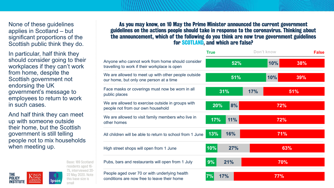None of these guidelines applies in Scotland – but significant proportions of the Scottish public think they do.

In particular, half think they should consider going to their workplaces if they can't work from home, despite the Scottish government not endorsing the UK government's message to employees to return to work in such cases.

And half think they can meet up with someone outside their home, but the Scottish government is still telling people not to mix households when meeting up.

**psos** 



Base: 189 Scotland residents aged 16- 75, interviewed 20- 22 May 2020. Note this base size is small

As you may know, on 10 May the Prime Minister announced the current government guidelines on the actions people should take in response to the coronavirus. Thinking about the announcement, which of the following do you think are now true government guidelines for SCOTLAND, and which are false?

|                                                                                                   | <b>True</b> |            | Don't know |     |     | <b>False</b> |  |
|---------------------------------------------------------------------------------------------------|-------------|------------|------------|-----|-----|--------------|--|
| Anyone who cannot work from home should consider<br>travelling to work if their workplace is open | 52%         |            |            | 10% | 38% |              |  |
| We are allowed to meet up with other people outside<br>our home, but only one person at a time    |             | 51%        |            | 10% | 39% |              |  |
| Face masks or coverings must now be worn in all<br>public places                                  |             | 31%        | 17%        |     | 51% |              |  |
| We are allowed to exercise outside in groups with<br>people not from our own household            | 20%         | 8%         |            | 72% |     |              |  |
| We are allowed to visit family members who live in<br>other homes                                 | 17%         | 11%        |            | 72% |     |              |  |
| All children will be able to return to school from 1 June                                         | 13%         | 16%        |            | 71% |     |              |  |
| High street shops will open from 1 June                                                           | 10%         | <b>27%</b> |            |     | 63% |              |  |
| Pubs, bars and restaurants will open from 1 July                                                  | 9%          | 21%        |            | 70% |     |              |  |
| People aged over 70 or with underlying health<br>conditions are now free to leave their home      | 7%          | <b>17%</b> |            | 77% |     |              |  |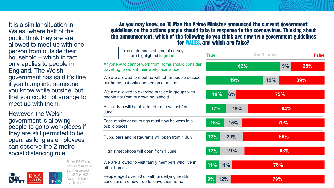It is a similar situation in Wales, where half of the public think they are are allowed to meet up with one person from outside their household – which in fact only applies to people in England. The Welsh government has said it's fine if you bump into someone you know while outside, but that you could not arrange to meet up with them.

However, the Welsh government is allowing people to go to workplaces if they are still permitted to be open, as long as employees can observe the 2-metre social distancing rule.

**KING'S** 

LONDON

**THE** 

**POLICY** 

**INSTITUTE** 

Base: 107 Wales residents aged 16- 75, interviewed 20-22 May 2020. Note: this base lpsos size is small

As you may know, on 10 May the Prime Minister announced the current government guidelines on the actions people should take in response to the coronavirus. Thinking about the announcement, which of the following do you think are now true government guidelines for WALES, and which are false?

|               | True statements at time of survey<br>are highlighted in green                                     | <b>True</b> |     | Don't know |     | <b>False</b> |  |
|---------------|---------------------------------------------------------------------------------------------------|-------------|-----|------------|-----|--------------|--|
|               | Anyone who cannot work from home should consider<br>travelling to work if their workplace is open |             | 62% |            | 9%  | 28%          |  |
|               | We are allowed to meet up with other people outside<br>our home, but only one person at a time    |             | 49% | 13%        |     | 39%          |  |
|               | We are allowed to exercise outside in groups with<br>people not from our own household            | 19%         | 6%  |            | 75% |              |  |
| June          | All children will be able to return to school from 1                                              | 17%         | 19% |            | 64% |              |  |
| public places | Face masks or coverings must now be worn in all                                                   | 16%         | 15% |            | 70% |              |  |
|               | Pubs, bars and restaurants will open from 1 July                                                  | 12%         | 20% |            | 69% |              |  |
|               | High street shops will open from 1 June                                                           | 12%         | 21% |            | 68% |              |  |
| other homes   | We are allowed to visit family members who live in                                                | 11%         | 11% |            | 78% |              |  |
|               | People aged over 70 or with underlying health<br>conditions are now free to leave their home      | 9%          | 12% |            | 79% |              |  |